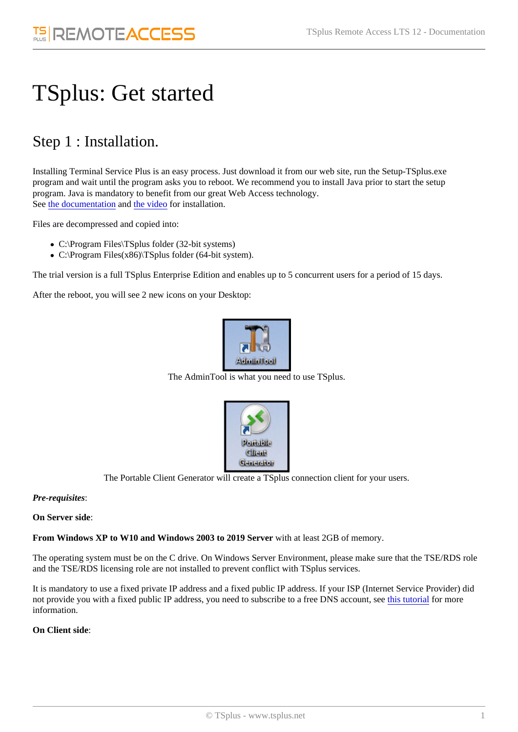# TSplus: Get started

## Step 1 : Installation.

Installing Terminal Service Plus is an easy process. Just download it from our web site, run the Setup-TSplus.exe program and wait until the program asks you to reboot. We recommend you to install Java prior to start the setup program. Java is mandatory to benefit from our great Web Access technology. Seethe documentationndthe video for installation.

Files are decompressed and copied into:

- C:\Program Files\TSplus folder (32-bit systems)
- C:\Program Files(x86)\TSplus folder (64-bit system).

The trial version is a full TSplus Enterprise Edition and enables up to 5 concurrent users for a period of 15 days.

After the reboot, you will see 2 new icons on your Desktop:

The AdminTool is what you need to use TSplus.

The Portable Client Generator will create a TSplus connection client for your users.

Pre-requisites:

On Server side:

From Windows XP to W10 and Windows 2003 to 2019 Servevith at least 2GB of memory.

The operating system must be on the C drive. On Windows Server Environment, please make sure that the TSE/RDS ro and the TSE/RDS licensing role are not installed to prevent conflict with TSplus services.

It is mandatory to use a fixed private IP address and a fixed public IP address. If your ISP (Internet Service Provider) did not provide you with a fixed public IP address, you need to subscribe to a free DNS accoldist, tstee ialfor more information.

On Client side: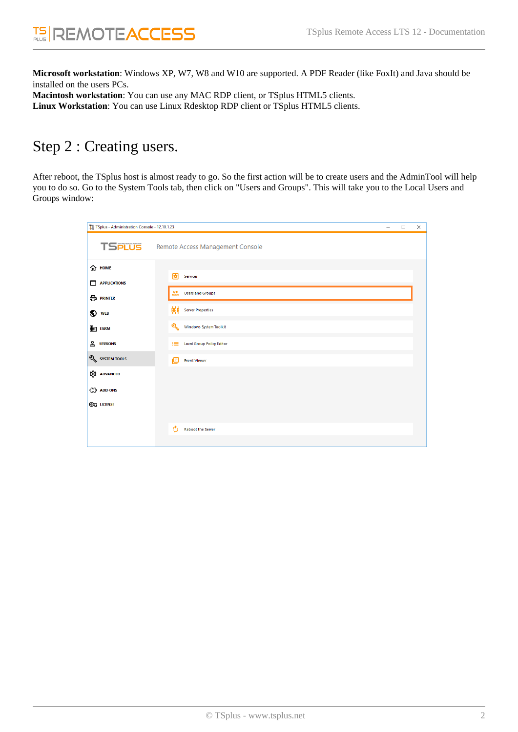**Microsoft workstation**: Windows XP, W7, W8 and W10 are supported. A PDF Reader (like FoxIt) and Java should be installed on the users PCs. **Macintosh workstation**: You can use any MAC RDP client, or TSplus HTML5 clients.

**Linux Workstation**: You can use Linux Rdesktop RDP client or TSplus HTML5 clients.

### Step 2 : Creating users.

After reboot, the TSplus host is almost ready to go. So the first action will be to create users and the AdminTool will help you to do so. Go to the System Tools tab, then click on "Users and Groups". This will take you to the Local Users and Groups window:

| T. TSplus - Administration Console - 12.10.1.23 |                                                                 | - | $\Box$ | $\times$ |
|-------------------------------------------------|-----------------------------------------------------------------|---|--------|----------|
| <b>TSPLUS</b>                                   | Remote Access Management Console                                |   |        |          |
| <b>命 HOME</b><br><b>APPLICATIONS</b><br>□       | 岡<br><b>Services</b>                                            |   |        |          |
| <b>合 PRINTER</b>                                | ዹ<br><b>Users and Groups</b><br>666<br><b>Server Properties</b> |   |        |          |
| O WEB<br><b>ED</b> FARM                         | ৩১<br>Windows System Toolkit                                    |   |        |          |
| <b>SESSIONS</b>                                 | <b>Local Group Policy Editor</b><br>這                           |   |        |          |
| SYSTEM TOOLS                                    | 旧<br><b>Event Viewer</b>                                        |   |        |          |
| <b>EDS</b> ADVANCED<br>۞ ADD-ONS                |                                                                 |   |        |          |
| <b>C</b> LICENSE                                |                                                                 |   |        |          |
|                                                 | <b>Reboot the Server</b>                                        |   |        |          |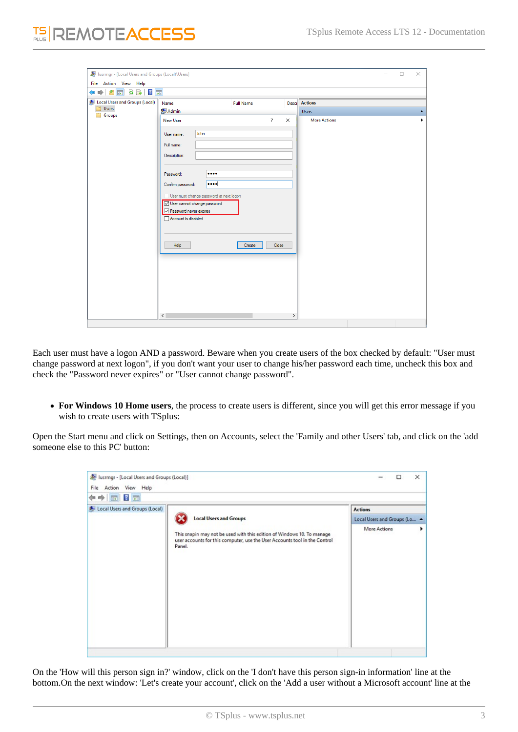| lusrmgr - [Local Users and Groups (Local)\Users]<br>File Action View Help                           |                                                                        |                         |          |                      | $\Box$ | $\times$ |
|-----------------------------------------------------------------------------------------------------|------------------------------------------------------------------------|-------------------------|----------|----------------------|--------|----------|
| $\Leftrightarrow$ $\blacktriangleright$ $\blacksquare$ $\blacksquare$ $\blacksquare$ $\blacksquare$ |                                                                        |                         |          |                      |        |          |
| Local Users and Groups (Local)<br>Users<br>۶                                                        | Name                                                                   | <b>Full Name</b>        |          | <b>Desci</b> Actions |        |          |
| Groups                                                                                              | $A$ dmin                                                               |                         |          | <b>Users</b>         |        | Δ.       |
|                                                                                                     | <b>New User</b>                                                        | $\overline{\mathbf{?}}$ | $\times$ | <b>More Actions</b>  |        |          |
|                                                                                                     | John<br>User name:                                                     |                         |          |                      |        |          |
|                                                                                                     | Full name:                                                             |                         |          |                      |        |          |
|                                                                                                     | Description:                                                           |                         |          |                      |        |          |
|                                                                                                     |                                                                        |                         |          |                      |        |          |
|                                                                                                     | <br>Password:                                                          |                         |          |                      |        |          |
|                                                                                                     | <br>Confirm password:                                                  |                         |          |                      |        |          |
|                                                                                                     | User must change password at next logon<br>User cannot change password |                         |          |                      |        |          |
|                                                                                                     | Password never expires                                                 |                         |          |                      |        |          |
|                                                                                                     | Account is disabled                                                    |                         |          |                      |        |          |
|                                                                                                     |                                                                        |                         |          |                      |        |          |
|                                                                                                     | Help                                                                   | Close<br>Create         |          |                      |        |          |
|                                                                                                     |                                                                        |                         |          |                      |        |          |
|                                                                                                     |                                                                        |                         |          |                      |        |          |
|                                                                                                     |                                                                        |                         |          |                      |        |          |
|                                                                                                     |                                                                        |                         |          |                      |        |          |
|                                                                                                     |                                                                        |                         |          |                      |        |          |
|                                                                                                     |                                                                        |                         |          |                      |        |          |
|                                                                                                     | $\langle$                                                              |                         | $\,$     |                      |        |          |

Each user must have a logon AND a password. Beware when you create users of the box checked by default: "User must change password at next logon", if you don't want your user to change his/her password each time, uncheck this box and check the "Password never expires" or "User cannot change password".

**For Windows 10 Home users**, the process to create users is different, since you will get this error message if you wish to create users with TSplus:

Open the Start menu and click on Settings, then on Accounts, select the 'Family and other Users' tab, and click on the 'add someone else to this PC' button:

| Iusrmgr - [Local Users and Groups (Local)]<br>File Action View Help |                                                                                                                                                                | □                            | × |
|---------------------------------------------------------------------|----------------------------------------------------------------------------------------------------------------------------------------------------------------|------------------------------|---|
| 7 <sub>m</sub><br>●同<br>⇔                                           |                                                                                                                                                                |                              |   |
| Local Users and Groups (Local)                                      |                                                                                                                                                                | <b>Actions</b>               |   |
|                                                                     | <b>Local Users and Groups</b>                                                                                                                                  | Local Users and Groups (Lo 4 |   |
|                                                                     | This snapin may not be used with this edition of Windows 10. To manage<br>user accounts for this computer, use the User Accounts tool in the Control<br>Panel. | More Actions                 |   |

On the 'How will this person sign in?' window, click on the 'I don't have this person sign-in information' line at the bottom.On the next window: 'Let's create your account', click on the 'Add a user without a Microsoft account' line at the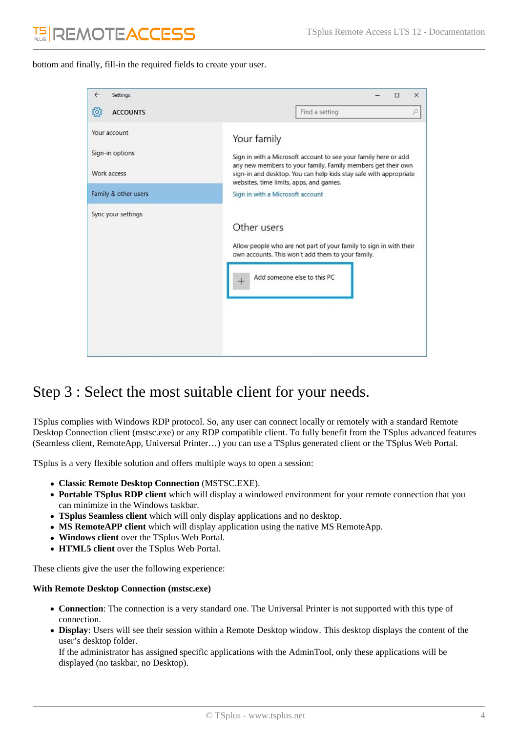bottom and finally, fill-in the required fields to create your user.

| $\leftarrow$<br>Settings                       | П<br>×                                                                                                                                                                                                                                                         |
|------------------------------------------------|----------------------------------------------------------------------------------------------------------------------------------------------------------------------------------------------------------------------------------------------------------------|
| १०३<br><b>ACCOUNTS</b>                         | Find a setting<br>ρ                                                                                                                                                                                                                                            |
| Your account<br>Sign-in options<br>Work access | Your family<br>Sign in with a Microsoft account to see your family here or add<br>any new members to your family. Family members get their own<br>sign-in and desktop. You can help kids stay safe with appropriate<br>websites, time limits, apps, and games. |
| Family & other users                           | Sign in with a Microsoft account                                                                                                                                                                                                                               |
| Sync your settings                             | Other users<br>Allow people who are not part of your family to sign in with their<br>own accounts. This won't add them to your family.<br>Add someone else to this PC                                                                                          |

### Step 3 : Select the most suitable client for your needs.

TSplus complies with Windows RDP protocol. So, any user can connect locally or remotely with a standard Remote Desktop Connection client (mstsc.exe) or any RDP compatible client. To fully benefit from the TSplus advanced features (Seamless client, RemoteApp, Universal Printer…) you can use a TSplus generated client or the TSplus Web Portal.

TSplus is a very flexible solution and offers multiple ways to open a session:

- **Classic Remote Desktop Connection** (MSTSC.EXE).
- **Portable TSplus RDP client** which will display a windowed environment for your remote connection that you can minimize in the Windows taskbar.
- **TSplus Seamless client** which will only display applications and no desktop.
- **MS RemoteAPP client** which will display application using the native MS RemoteApp.
- **Windows client** over the TSplus Web Portal.
- **HTML5 client** over the TSplus Web Portal.

These clients give the user the following experience:

#### **With Remote Desktop Connection (mstsc.exe)**

- **Connection**: The connection is a very standard one. The Universal Printer is not supported with this type of connection.
- **Display**: Users will see their session within a Remote Desktop window. This desktop displays the content of the user's desktop folder.

If the administrator has assigned specific applications with the AdminTool, only these applications will be displayed (no taskbar, no Desktop).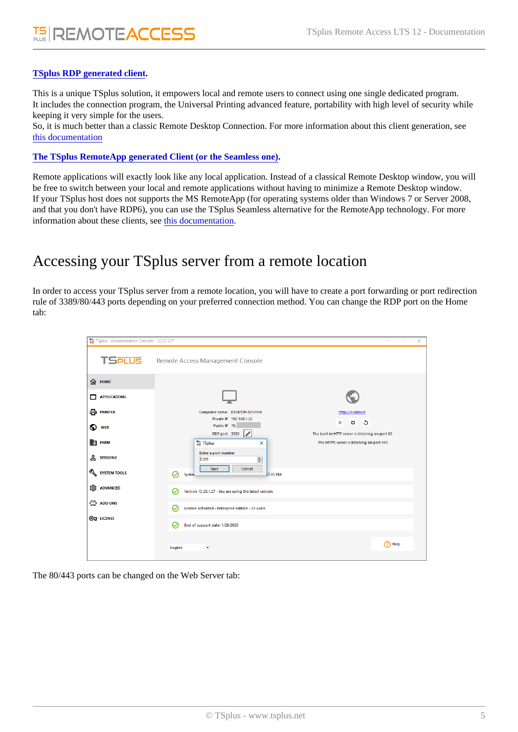### [TSplus RDP generated clien](/tsplus/portable-client-generator)t.

This is a unique TSplus solution, it empowers local and remote users to connect using one single dedicated program. It includes the connection program, the Universal Printing advanced feature, portability with high level of security while keeping it very simple for the users.

So, it is much better than a classic Remote Desktop Connection. For more information about this client generation, see [this documentatio](/tsplus/portable-client-generator)n

### [The TSplus RemoteApp generated Client \(or the Seamless o](/tsplus/remoteapp-seamless-connection-clients)ne) .

Remote applications will exactly look like any local application. Instead of a classical Remote Desktop window, you will be free to switch between your local and remote applications without having to minimize a Remote Desktop window. If your TSplus host does not supports the MS RemoteApp (for operating systems older than Windows 7 or Server 2008, and that you don't have RDP6), you can use the TSplus Seamless alternative for the RemoteApp technology. For more information about these clients, she documentation

### Accessing your TSplus server from a remote location

In order to access your TSplus server from a remote location, you will have to create a port forwarding or port redirection rule of 3389/80/443 ports depending on your preferred connection method. You can change the RDP port on the Home tab:

The 80/443 ports can be changed on the Web Server tab: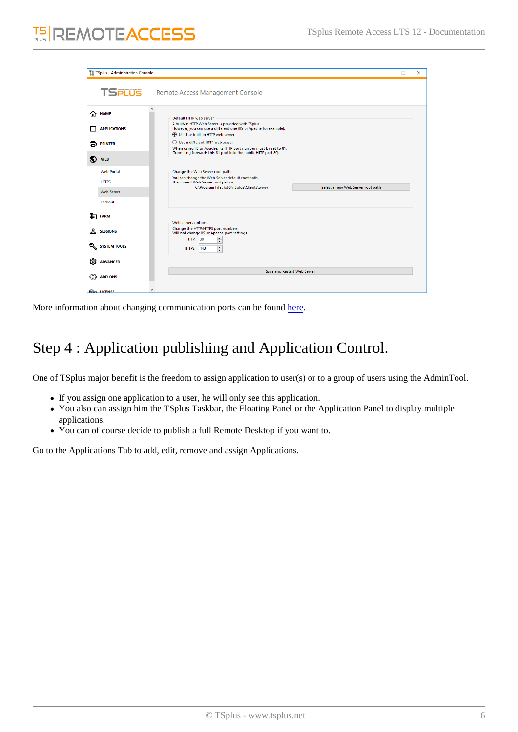More information about changing communication ports can be [found](/tsplus/services-and-ports)

# Step 4 : Application publishing and Application Control.

One of TSplus major benefit is the freedom to assign application to user(s) or to a group of users using the AdminTool.

- If you assign one application to a user, he will only see this application.
- You also can assign him the TSplus Taskbar, the Floating Panel or the Application Panel to display multiple applications.
- You can of course decide to publish a full Remote Desktop if you want to.

Go to the Applications Tab to add, edit, remove and assign Applications.